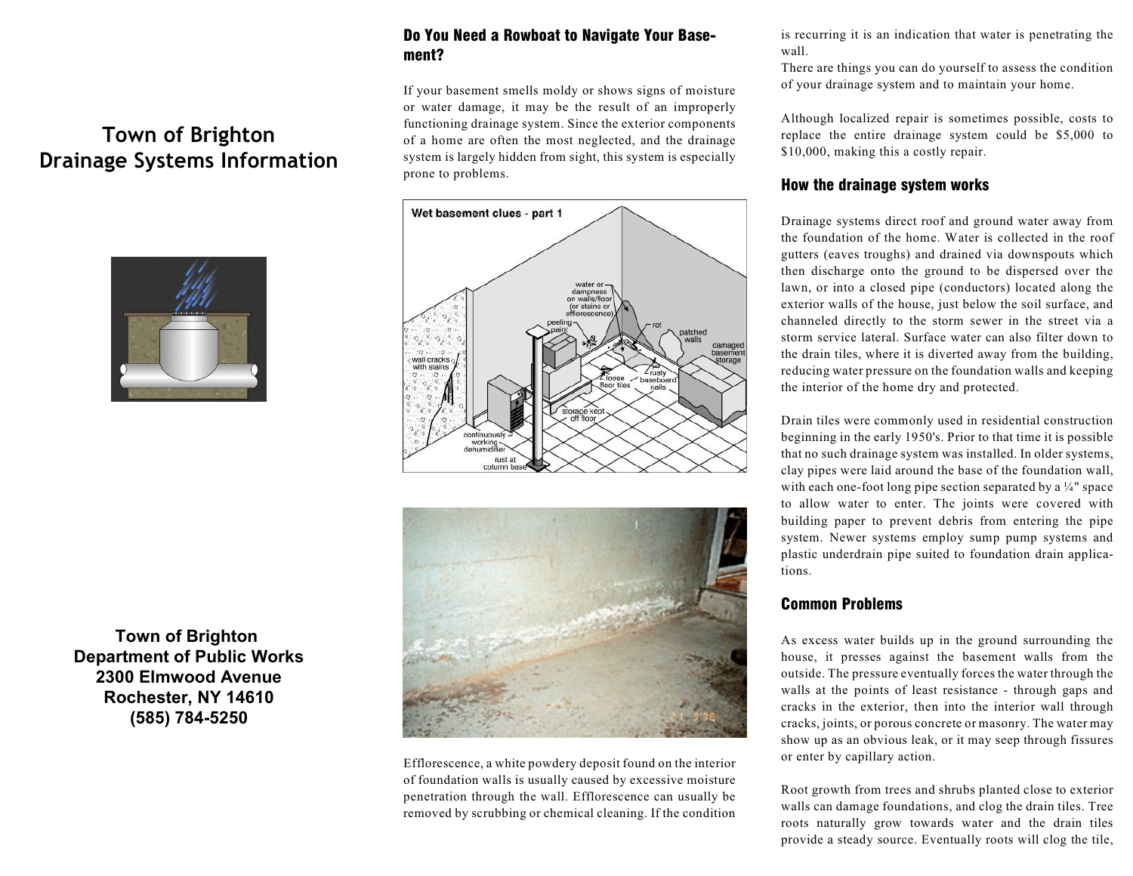# **Town of Brighton Drainage Systems Information**



**Town of Brighton Department of Public Works 2300 Elmwood Avenue Rochester, NY 14610 (585) 784-5250**

## Do You Need a Rowboat to Navigate Your Basement?

If your basement smells moldy or shows signs of moisture or water damage, it may be the result of an improperly functioning drainage system. Since the exterior components of a home are often the most neglected, and the drainage system is largely hidden from sight, this system is especially prone to problems.





Efflorescence, a white powdery deposit found on the interior of foundation walls is usually caused by excessive moisture penetration through the wall. Efflorescence can usually be removed by scrubbing or chemical cleaning. If the condition

is recurring it is an indication that water is penetrating the wall.

There are things you can do yourself to assess the condition of your drainage system and to maintain your home.

Although localized repair is sometimes possible, costs to replace the entire drainage system could be \$5,000 to \$10,000, making this a costly repair.

#### How the drainage system works

Drainage systems direct roof and ground water away from the foundation of the home. Water is collected in the roof gutters (eaves troughs) and drained via downspouts which then discharge onto the ground to be dispersed over the lawn, or into a closed pipe (conductors) located along the exterior walls of the house, just below the soil surface, and channeled directly to the storm sewer in the street via a storm service lateral. Surface water can also filter down to the drain tiles, where it is diverted away from the building, reducing water pressure on the foundation walls and keeping the interior of the home dry and protected.

Drain tiles were commonly used in residential construction beginning in the early 1950's. Prior to that time it is possible that no such drainage system was installed. In older systems, clay pipes were laid around the base of the foundation wall, with each one-foot long pipe section separated by a ¼" space to allow water to enter. The joints were covered with building paper to prevent debris from entering the pipe system. Newer systems employ sump pump systems and plastic underdrain pipe suited to foundation drain applications.

### Common Problems

As excess water builds up in the ground surrounding the house, it presses against the basement walls from the outside. The pressure eventually forces the water through the walls at the points of least resistance - through gaps and cracks in the exterior, then into the interior wall through cracks, joints, or porous concrete or masonry. The water may show up as an obvious leak, or it may seep through fissures or enter by capillary action.

Root growth from trees and shrubs planted close to exterior walls can damage foundations, and clog the drain tiles. Tree roots naturally grow towards water and the drain tiles provide a steady source. Eventually roots will clog the tile,